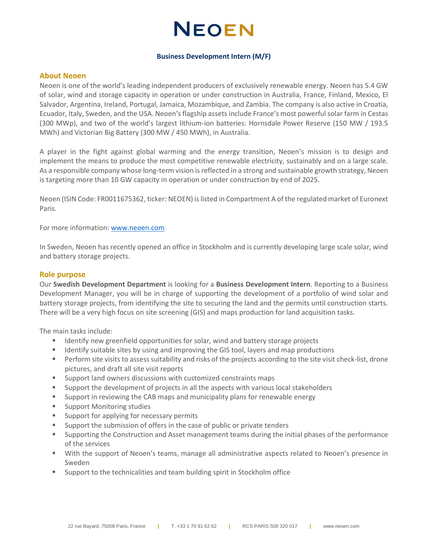## **NEOEN**

#### **Business Development Intern (M/F)**

#### **About Neoen**

Neoen is one of the world's leading independent producers of exclusively renewable energy. Neoen has 5.4 GW of solar, wind and storage capacity in operation or under construction in Australia, France, Finland, Mexico, El Salvador, Argentina, Ireland, Portugal, Jamaica, Mozambique, and Zambia. The company is also active in Croatia, Ecuador, Italy, Sweden, and the USA. Neoen's flagship assets include France's most powerful solar farm in Cestas (300 MWp), and two of the world's largest lithium-ion batteries: Hornsdale Power Reserve (150 MW / 193.5 MWh) and Victorian Big Battery (300 MW / 450 MWh), in Australia.

A player in the fight against global warming and the energy transition, Neoen's mission is to design and implement the means to produce the most competitive renewable electricity, sustainably and on a large scale. As a responsible company whose long-term vision is reflected in a strong and sustainable growth strategy, Neoen is targeting more than 10 GW capacity in operation or under construction by end of 2025.

Neoen (ISIN Code: FR0011675362, ticker: NEOEN) is listed in Compartment A of the regulated market of Euronext Paris.

For more information: [www.neoen.com](http://www.neoen.com/)

In Sweden, Neoen has recently opened an office in Stockholm and is currently developing large scale solar, wind and battery storage projects.

#### **Role purpose**

Our **Swedish Development Department** is looking for a **Business Development Intern**. Reporting to a Business Development Manager, you will be in charge of supporting the development of a portfolio of wind solar and battery storage projects, from identifying the site to securing the land and the permits until construction starts. There will be a very high focus on site screening (GIS) and maps production for land acquisition tasks.

The main tasks include:

- Identify new greenfield opportunities for solar, wind and battery storage projects
- **■** Identify suitable sites by using and improving the GIS tool, layers and map productions
- Perform site visits to assess suitability and risks of the projects according to the site visit check-list, drone pictures, and draft all site visit reports
- Support land owners discussions with customized constraints maps
- Support the development of projects in all the aspects with various local stakeholders
- Support in reviewing the CAB maps and municipality plans for renewable energy
- Support Monitoring studies
- Support for applying for necessary permits
- Support the submission of offers in the case of public or private tenders
- **EXECONTER 19 Supporting the Construction and Asset management teams during the initial phases of the performance** of the services
- With the support of Neoen's teams, manage all administrative aspects related to Neoen's presence in Sweden
- Support to the technicalities and team building spirit in Stockholm office